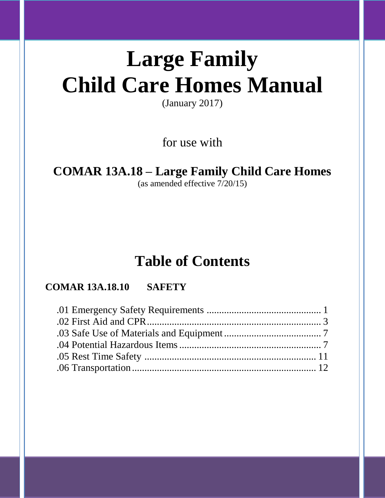# **Large Family Child Care Homes Manual**

(January 2017)

for use with

## **COMAR 13A.18 – Large Family Child Care Homes**

(as amended effective 7/20/15)

## **Table of Contents**

### **COMAR 13A.18.10 SAFETY**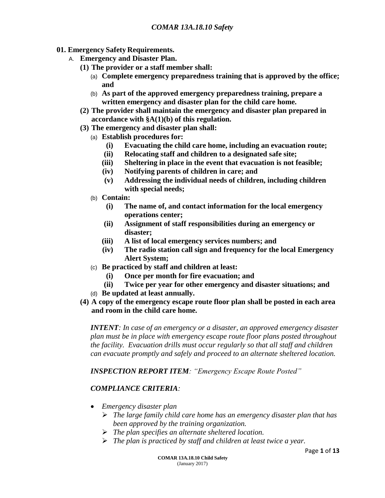- **01. Emergency Safety Requirements.**
	- A. **Emergency and Disaster Plan.**
		- **(1) The provider or a staff member shall:**
			- (a) **Complete emergency preparedness training that is approved by the office; and**
			- (b) **As part of the approved emergency preparedness training, prepare a written emergency and disaster plan for the child care home.**
		- **(2) The provider shall maintain the emergency and disaster plan prepared in accordance with §A(1)(b) of this regulation.**
		- **(3) The emergency and disaster plan shall:**
			- (a) **Establish procedures for:**
				- **(i) Evacuating the child care home, including an evacuation route;**
				- **(ii) Relocating staff and children to a designated safe site;**
				- **(iii) Sheltering in place in the event that evacuation is not feasible;**
				- **(iv) Notifying parents of children in care; and**
				- **(v) Addressing the individual needs of children, including children with special needs;**
			- (b) **Contain:**
				- **(i) The name of, and contact information for the local emergency operations center;**
				- **(ii) Assignment of staff responsibilities during an emergency or disaster;**
				- **(iii) A list of local emergency services numbers; and**
				- **(iv) The radio station call sign and frequency for the local Emergency Alert System;**
			- (c) **Be practiced by staff and children at least:**
				- **(i) Once per month for fire evacuation; and**
				- **(ii) Twice per year for other emergency and disaster situations; and**
			- (d) **Be updated at least annually.**
		- **(4) A copy of the emergency escape route floor plan shall be posted in each area and room in the child care home.**

*INTENT: In case of an emergency or a disaster, an approved emergency disaster plan must be in place with emergency escape route floor plans posted throughout the facility. Evacuation drills must occur regularly so that all staff and children can evacuate promptly and safely and proceed to an alternate sheltered location.*

*INSPECTION REPORT ITEM: "Emergency Escape Route Posted"*

#### *COMPLIANCE CRITERIA:*

- *Emergency disaster plan*
	- *The large family child care home has an emergency disaster plan that has been approved by the training organization.*
	- *The plan specifies an alternate sheltered location.*
	- *The plan is practiced by staff and children at least twice a year.*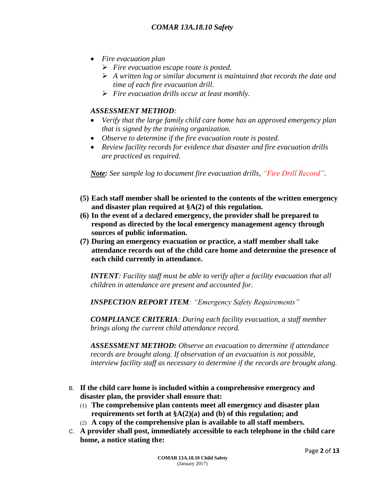- *Fire evacuation plan*
	- *Fire evacuation escape route is posted.*
	- *A written log or similar document is maintained that records the date and time of each fire evacuation drill.*
	- *Fire evacuation drills occur at least monthly.*

#### *ASSESSMENT METHOD:*

- *Verify that the large family child care home has an approved emergency plan that is signed by the training organization.*
- *Observe to determine if the fire evacuation route is posted.*
- *Review facility records for evidence that disaster and fire evacuation drills are practiced as required.*

*Note: See sample log to document fire evacuation drills, "Fire Drill Record".*

- **(5) Each staff member shall be oriented to the contents of the written emergency and disaster plan required at §A(2) of this regulation.**
- **(6) In the event of a declared emergency, the provider shall be prepared to respond as directed by the local emergency management agency through sources of public information.**
- **(7) During an emergency evacuation or practice, a staff member shall take attendance records out of the child care home and determine the presence of each child currently in attendance.**

*INTENT: Facility staff must be able to verify after a facility evacuation that all children in attendance are present and accounted for.* 

*INSPECTION REPORT ITEM: "Emergency Safety Requirements"*

*COMPLIANCE CRITERIA: During each facility evacuation, a staff member brings along the current child attendance record.*

*ASSESSMENT METHOD: Observe an evacuation to determine if attendance records are brought along. If observation of an evacuation is not possible, interview facility staff as necessary to determine if the records are brought along.*

- B. **If the child care home is included within a comprehensive emergency and disaster plan, the provider shall ensure that:**
	- (1) **The comprehensive plan contents meet all emergency and disaster plan requirements set forth at §A(2)(a) and (b) of this regulation; and**
	- (2) **A copy of the comprehensive plan is available to all staff members.**
- C. **A provider shall post, immediately accessible to each telephone in the child care home, a notice stating the:**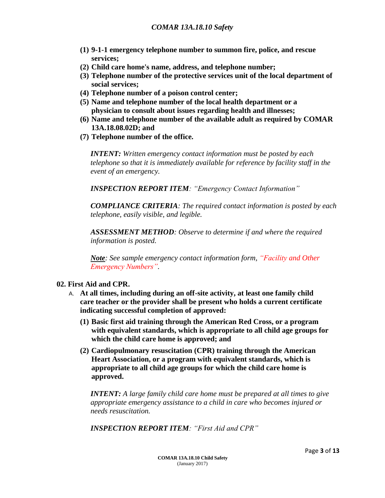- **(1) 9-1-1 emergency telephone number to summon fire, police, and rescue services;**
- **(2) Child care home's name, address, and telephone number;**
- **(3) Telephone number of the protective services unit of the local department of social services;**
- **(4) Telephone number of a poison control center;**
- **(5) Name and telephone number of the local health department or a physician to consult about issues regarding health and illnesses;**
- **(6) Name and telephone number of the available adult as required by COMAR 13A.18.08.02D; and**
- **(7) Telephone number of the office.**

*INTENT: Written emergency contact information must be posted by each telephone so that it is immediately available for reference by facility staff in the event of an emergency.*

*INSPECTION REPORT ITEM: "Emergency Contact Information"*

*COMPLIANCE CRITERIA: The required contact information is posted by each telephone, easily visible, and legible.*

*ASSESSMENT METHOD: Observe to determine if and where the required information is posted.* 

*Note: See sample emergency contact information form, "Facility and Other Emergency Numbers".*

#### **02. First Aid and CPR.**

- A. **At all times, including during an off-site activity, at least one family child care teacher or the provider shall be present who holds a current certificate indicating successful completion of approved:**
	- **(1) Basic first aid training through the American Red Cross, or a program with equivalent standards, which is appropriate to all child age groups for which the child care home is approved; and**
	- **(2) Cardiopulmonary resuscitation (CPR) training through the American Heart Association, or a program with equivalent standards, which is appropriate to all child age groups for which the child care home is approved.**

*INTENT: A large family child care home must be prepared at all times to give appropriate emergency assistance to a child in care who becomes injured or needs resuscitation.*

*INSPECTION REPORT ITEM: "First Aid and CPR"*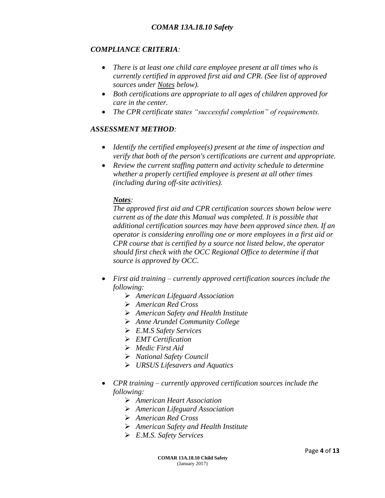#### *COMPLIANCE CRITERIA:*

- *There is at least one child care employee present at all times who is currently certified in approved first aid and CPR. (See list of approved sources under Notes below).*
- *Both certifications are appropriate to all ages of children approved for care in the center.*
- *The CPR certificate states "successful completion" of requirements.*

#### *ASSESSMENT METHOD:*

- *Identify the certified employee(s) present at the time of inspection and verify that both of the person's certifications are current and appropriate.*
- *Review the current staffing pattern and activity schedule to determine whether a properly certified employee is present at all other times (including during off-site activities).*

#### *Notes:*

*The approved first aid and CPR certification sources shown below were current as of the date this Manual was completed. It is possible that additional certification sources may have been approved since then. If an operator is considering enrolling one or more employees in a first aid or CPR course that is certified by a source not listed below, the operator should first check with the OCC Regional Office to determine if that source is approved by OCC.*

- *First aid training – currently approved certification sources include the following:*
	- *American Lifeguard Association*
	- *American Red Cross*
	- *American Safety and Health Institute*
	- *Anne Arundel Community College*
	- *E.M.S Safety Services*
	- *EMT Certification*
	- *Medic First Aid*
	- *National Safety Council*
	- *URSUS Lifesavers and Aquatics*
- *CPR training – currently approved certification sources include the following:*
	- *American Heart Association*
	- *American Lifeguard Association*
	- *American Red Cross*
	- *American Safety and Health Institute*
	- *E.M.S. Safety Services*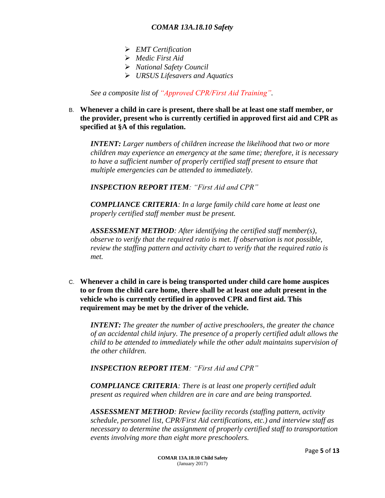- *EMT Certification*
- *Medic First Aid*
- *National Safety Council*
- *URSUS Lifesavers and Aquatics*

*See a composite list of "Approved CPR/First Aid Training".*

#### B. **Whenever a child in care is present, there shall be at least one staff member, or the provider, present who is currently certified in approved first aid and CPR as specified at §A of this regulation.**

*INTENT: Larger numbers of children increase the likelihood that two or more children may experience an emergency at the same time; therefore, it is necessary to have a sufficient number of properly certified staff present to ensure that multiple emergencies can be attended to immediately.*

*INSPECTION REPORT ITEM: "First Aid and CPR"*

*COMPLIANCE CRITERIA: In a large family child care home at least one properly certified staff member must be present.*

*ASSESSMENT METHOD: After identifying the certified staff member(s), observe to verify that the required ratio is met. If observation is not possible, review the staffing pattern and activity chart to verify that the required ratio is met.*

C. **Whenever a child in care is being transported under child care home auspices to or from the child care home, there shall be at least one adult present in the vehicle who is currently certified in approved CPR and first aid. This requirement may be met by the driver of the vehicle.**

*INTENT: The greater the number of active preschoolers, the greater the chance of an accidental child injury. The presence of a properly certified adult allows the child to be attended to immediately while the other adult maintains supervision of the other children.*

*INSPECTION REPORT ITEM: "First Aid and CPR"*

*COMPLIANCE CRITERIA: There is at least one properly certified adult present as required when children are in care and are being transported.*

*ASSESSMENT METHOD: Review facility records (staffing pattern, activity schedule, personnel list, CPR/First Aid certifications, etc.) and interview staff as necessary to determine the assignment of properly certified staff to transportation events involving more than eight more preschoolers.*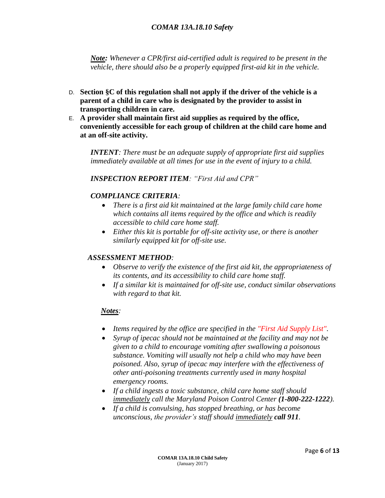*Note: Whenever a CPR/first aid-certified adult is required to be present in the vehicle, there should also be a properly equipped first-aid kit in the vehicle.*

- D. **Section §C of this regulation shall not apply if the driver of the vehicle is a parent of a child in care who is designated by the provider to assist in transporting children in care.**
- E. **A provider shall maintain first aid supplies as required by the office, conveniently accessible for each group of children at the child care home and at an off-site activity.**

*INTENT: There must be an adequate supply of appropriate first aid supplies immediately available at all times for use in the event of injury to a child.*

*INSPECTION REPORT ITEM: "First Aid and CPR"*

#### *COMPLIANCE CRITERIA:*

- *There is a first aid kit maintained at the large family child care home which contains all items required by the office and which is readily accessible to child care home staff.*
- *Either this kit is portable for off-site activity use, or there is another similarly equipped kit for off-site use.*

#### *ASSESSMENT METHOD:*

- *Observe to verify the existence of the first aid kit, the appropriateness of its contents, and its accessibility to child care home staff.*
- *If a similar kit is maintained for off-site use, conduct similar observations with regard to that kit.*

#### *Notes:*

- *Items required by the office are specified in the "First Aid Supply List".*
- *Syrup of ipecac should not be maintained at the facility and may not be given to a child to encourage vomiting after swallowing a poisonous substance. Vomiting will usually not help a child who may have been poisoned. Also, syrup of ipecac may interfere with the effectiveness of other anti-poisoning treatments currently used in many hospital emergency rooms.*
- *If a child ingests a toxic substance, child care home staff should immediately call the Maryland Poison Control Center (1-800-222-1222).*
- *If a child is convulsing, has stopped breathing, or has become unconscious, the provider's staff should immediately call 911.*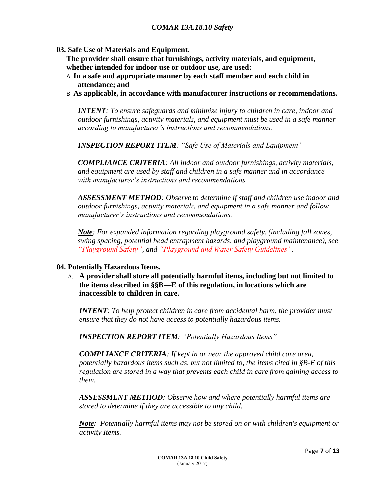**03. Safe Use of Materials and Equipment.**

**The provider shall ensure that furnishings, activity materials, and equipment, whether intended for indoor use or outdoor use, are used:**

- A. **In a safe and appropriate manner by each staff member and each child in attendance; and**
- B. **As applicable, in accordance with manufacturer instructions or recommendations.**

*INTENT: To ensure safeguards and minimize injury to children in care, indoor and outdoor furnishings, activity materials, and equipment must be used in a safe manner according to manufacturer's instructions and recommendations.*

*INSPECTION REPORT ITEM: "Safe Use of Materials and Equipment"*

*COMPLIANCE CRITERIA: All indoor and outdoor furnishings, activity materials, and equipment are used by staff and children in a safe manner and in accordance with manufacturer's instructions and recommendations.*

*ASSESSMENT METHOD: Observe to determine if staff and children use indoor and outdoor furnishings, activity materials, and equipment in a safe manner and follow manufacturer's instructions and recommendations.*

*Note: For expanded information regarding playground safety, (including fall zones, swing spacing, potential head entrapment hazards, and playground maintenance), see "Playground Safety", and "Playground and Water Safety Guidelines".*

#### **04. Potentially Hazardous Items.**

A. **A provider shall store all potentially harmful items, including but not limited to the items described in §§B—E of this regulation, in locations which are inaccessible to children in care.**

*INTENT: To help protect children in care from accidental harm, the provider must ensure that they do not have access to potentially hazardous items.*

*INSPECTION REPORT ITEM: "Potentially Hazardous Items"*

*COMPLIANCE CRITERIA: If kept in or near the approved child care area, potentially hazardous items such as, but not limited to, the items cited in §B-E of this regulation are stored in a way that prevents each child in care from gaining access to them.*

*ASSESSMENT METHOD: Observe how and where potentially harmful items are stored to determine if they are accessible to any child.*

*Note: Potentially harmful items may not be stored on or with children's equipment or activity Items.*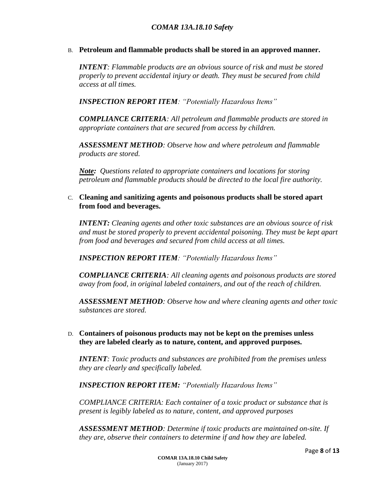B. **Petroleum and flammable products shall be stored in an approved manner.**

*INTENT: Flammable products are an obvious source of risk and must be stored properly to prevent accidental injury or death. They must be secured from child access at all times.*

*INSPECTION REPORT ITEM: "Potentially Hazardous Items"*

*COMPLIANCE CRITERIA: All petroleum and flammable products are stored in appropriate containers that are secured from access by children.*

*ASSESSMENT METHOD: Observe how and where petroleum and flammable products are stored.*

*Note: Questions related to appropriate containers and locations for storing petroleum and flammable products should be directed to the local fire authority.*

C. **Cleaning and sanitizing agents and poisonous products shall be stored apart from food and beverages.**

*INTENT: Cleaning agents and other toxic substances are an obvious source of risk and must be stored properly to prevent accidental poisoning. They must be kept apart from food and beverages and secured from child access at all times.*

*INSPECTION REPORT ITEM: "Potentially Hazardous Items"*

*COMPLIANCE CRITERIA: All cleaning agents and poisonous products are stored away from food, in original labeled containers, and out of the reach of children.*

*ASSESSMENT METHOD: Observe how and where cleaning agents and other toxic substances are stored.*

D. **Containers of poisonous products may not be kept on the premises unless they are labeled clearly as to nature, content, and approved purposes.**

*INTENT: Toxic products and substances are prohibited from the premises unless they are clearly and specifically labeled.*

*INSPECTION REPORT ITEM: "Potentially Hazardous Items"*

*COMPLIANCE CRITERIA: Each container of a toxic product or substance that is present is legibly labeled as to nature, content, and approved purposes*

*ASSESSMENT METHOD: Determine if toxic products are maintained on-site. If they are, observe their containers to determine if and how they are labeled.*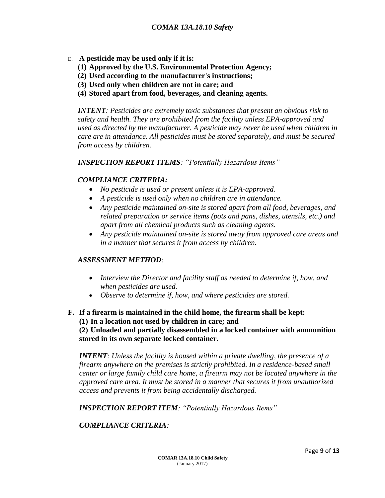- E. **A pesticide may be used only if it is:**
	- **(1) Approved by the U.S. Environmental Protection Agency;**
	- **(2) Used according to the manufacturer's instructions;**
	- **(3) Used only when children are not in care; and**
	- **(4) Stored apart from food, beverages, and cleaning agents.**

*INTENT: Pesticides are extremely toxic substances that present an obvious risk to safety and health. They are prohibited from the facility unless EPA-approved and used as directed by the manufacturer. A pesticide may never be used when children in care are in attendance. All pesticides must be stored separately, and must be secured from access by children.*

*INSPECTION REPORT ITEMS: "Potentially Hazardous Items"*

#### *COMPLIANCE CRITERIA:*

- *No pesticide is used or present unless it is EPA-approved.*
- *A pesticide is used only when no children are in attendance.*
- *Any pesticide maintained on-site is stored apart from all food, beverages, and related preparation or service items (pots and pans, dishes, utensils, etc.) and apart from all chemical products such as cleaning agents.*
- *Any pesticide maintained on-site is stored away from approved care areas and in a manner that secures it from access by children.*

#### *ASSESSMENT METHOD:*

- *Interview the Director and facility staff as needed to determine if, how, and when pesticides are used.*
- *Observe to determine if, how, and where pesticides are stored.*

#### **F. If a firearm is maintained in the child home, the firearm shall be kept:**

**(1) In a location not used by children in care; and** 

**(2) Unloaded and partially disassembled in a locked container with ammunition stored in its own separate locked container.**

*INTENT: Unless the facility is housed within a private dwelling, the presence of a firearm anywhere on the premises is strictly prohibited. In a residence-based small center or large family child care home, a firearm may not be located anywhere in the approved care area. It must be stored in a manner that secures it from unauthorized access and prevents it from being accidentally discharged.*

*INSPECTION REPORT ITEM: "Potentially Hazardous Items"*

#### *COMPLIANCE CRITERIA:*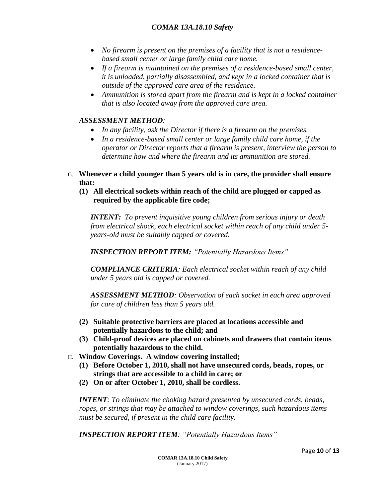- *No firearm is present on the premises of a facility that is not a residencebased small center or large family child care home.*
- *If a firearm is maintained on the premises of a residence-based small center, it is unloaded, partially disassembled, and kept in a locked container that is outside of the approved care area of the residence.*
- *Ammunition is stored apart from the firearm and is kept in a locked container that is also located away from the approved care area.*

#### *ASSESSMENT METHOD:*

- *In any facility, ask the Director if there is a firearm on the premises.*
- *In a residence-based small center or large family child care home, if the operator or Director reports that a firearm is present, interview the person to determine how and where the firearm and its ammunition are stored.*
- G. **Whenever a child younger than 5 years old is in care, the provider shall ensure that:**
	- **(1) All electrical sockets within reach of the child are plugged or capped as required by the applicable fire code;**

*INTENT: To prevent inquisitive young children from serious injury or death from electrical shock, each electrical socket within reach of any child under 5 years-old must be suitably capped or covered.*

*INSPECTION REPORT ITEM: "Potentially Hazardous Items"*

*COMPLIANCE CRITERIA: Each electrical socket within reach of any child under 5 years old is capped or covered.*

*ASSESSMENT METHOD: Observation of each socket in each area approved for care of children less than 5 years old.*

- **(2) Suitable protective barriers are placed at locations accessible and potentially hazardous to the child; and**
- **(3) Child-proof devices are placed on cabinets and drawers that contain items potentially hazardous to the child.**
- H. **Window Coverings. A window covering installed;**
	- **(1) Before October 1, 2010, shall not have unsecured cords, beads, ropes, or strings that are accessible to a child in care; or**
	- **(2) On or after October 1, 2010, shall be cordless.**

*INTENT: To eliminate the choking hazard presented by unsecured cords, beads, ropes, or strings that may be attached to window coverings, such hazardous items must be secured, if present in the child care facility.*

*INSPECTION REPORT ITEM: "Potentially Hazardous Items"*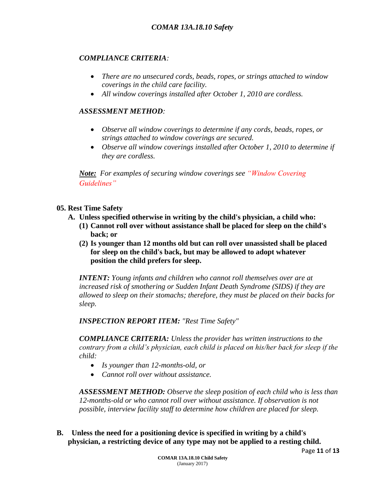#### *COMPLIANCE CRITERIA:*

- *There are no unsecured cords, beads, ropes, or strings attached to window coverings in the child care facility.*
- *All window coverings installed after October 1, 2010 are cordless.*

#### *ASSESSMENT METHOD:*

- *Observe all window coverings to determine if any cords, beads, ropes, or strings attached to window coverings are secured.*
- *Observe all window coverings installed after October 1, 2010 to determine if they are cordless.*

*Note: For examples of securing window coverings see "Window Covering Guidelines"*

#### **05. Rest Time Safety**

- **A. Unless specified otherwise in writing by the child's physician, a child who:**
	- **(1) Cannot roll over without assistance shall be placed for sleep on the child's back; or**
	- **(2) Is younger than 12 months old but can roll over unassisted shall be placed for sleep on the child's back, but may be allowed to adopt whatever position the child prefers for sleep.**

*INTENT: Young infants and children who cannot roll themselves over are at increased risk of smothering or Sudden Infant Death Syndrome (SIDS) if they are allowed to sleep on their stomachs; therefore, they must be placed on their backs for sleep.*

*INSPECTION REPORT ITEM: "Rest Time Safety"*

*COMPLIANCE CRITERIA: Unless the provider has written instructions to the contrary from a child's physician, each child is placed on his/her back for sleep if the child:*

- *Is younger than 12-months-old, or*
- *Cannot roll over without assistance.*

*ASSESSMENT METHOD: Observe the sleep position of each child who is less than 12-months-old or who cannot roll over without assistance. If observation is not possible, interview facility staff to determine how children are placed for sleep.*

**B. Unless the need for a positioning device is specified in writing by a child's physician, a restricting device of any type may not be applied to a resting child.**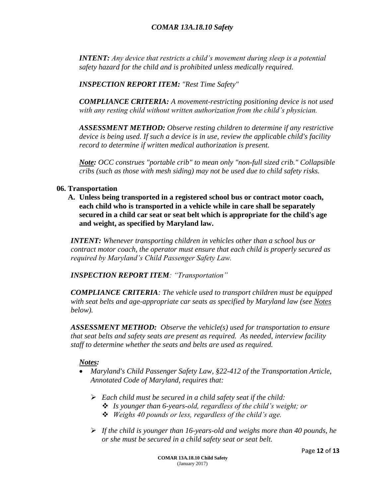*INTENT: Any device that restricts a child's movement during sleep is a potential safety hazard for the child and is prohibited unless medically required.*

*INSPECTION REPORT ITEM: "Rest Time Safety"*

*COMPLIANCE CRITERIA: A movement-restricting positioning device is not used with any resting child without written authorization from the child's physician.*

*ASSESSMENT METHOD: Observe resting children to determine if any restrictive device is being used. If such a device is in use, review the applicable child's facility record to determine if written medical authorization is present.*

*Note: OCC construes "portable crib" to mean only "non-full sized crib." Collapsible cribs (such as those with mesh siding) may not be used due to child safety risks.* 

#### **06. Transportation**

**A. Unless being transported in a registered school bus or contract motor coach, each child who is transported in a vehicle while in care shall be separately secured in a child car seat or seat belt which is appropriate for the child's age and weight, as specified by Maryland law.**

*INTENT: Whenever transporting children in vehicles other than a school bus or contract motor coach, the operator must ensure that each child is properly secured as required by Maryland's Child Passenger Safety Law.*

*INSPECTION REPORT ITEM: "Transportation"*

*COMPLIANCE CRITERIA: The vehicle used to transport children must be equipped with seat belts and age-appropriate car seats as specified by Maryland law (see Notes below).*

*ASSESSMENT METHOD: Observe the vehicle(s) used for transportation to ensure that seat belts and safety seats are present as required. As needed, interview facility staff to determine whether the seats and belts are used as required.*

#### *Notes:*

- *Maryland's Child Passenger Safety Law, §22-412 of the Transportation Article, Annotated Code of Maryland, requires that:*
	- *Each child must be secured in a child safety seat if the child:*
		- *Is younger than 6-years-old, regardless of the child's weight; or*
		- *Weighs 40 pounds or less, regardless of the child's age.*
	- *If the child is younger than 16-years-old and weighs more than 40 pounds, he or she must be secured in a child safety seat or seat belt.*